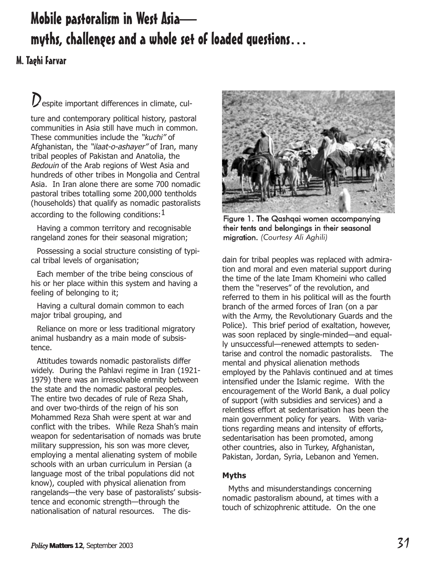# Mobile pastoralism in West Asia myths, challenges and a whole set of loaded questions

# M. Taghi Farvar

 $D_{\text{espite important differences in climate, cul-}}$ 

ture and contemporary political history, pastoral communities in Asia still have much in common. These communities include the "kuchi" of Afghanistan, the "ilaat-o-ashayer" of Iran, many tribal peoples of Pakistan and Anatolia, the Bedouin of the Arab regions of West Asia and hundreds of other tribes in Mongolia and Central Asia. In Iran alone there are some 700 nomadic pastoral tribes totalling some 200,000 tentholds (households) that qualify as nomadic pastoralists according to the following conditions:  $1$ 

Having a common territory and recognisable rangeland zones for their seasonal migration;

Possessing a social structure consisting of typical tribal levels of organisation;

Each member of the tribe being conscious of his or her place within this system and having a feeling of belonging to it;

Having a cultural domain common to each major tribal grouping, and

Reliance on more or less traditional migratory animal husbandry as a main mode of subsistence.

Attitudes towards nomadic pastoralists differ widely. During the Pahlavi regime in Iran (1921- 1979) there was an irresolvable enmity between the state and the nomadic pastoral peoples. The entire two decades of rule of Reza Shah, and over two-thirds of the reign of his son Mohammed Reza Shah were spent at war and conflict with the tribes. While Reza Shah's main weapon for sedentarisation of nomads was brute military suppression, his son was more clever, employing a mental alienating system of mobile schools with an urban curriculum in Persian (a language most of the tribal populations did not know), coupled with physical alienation from rangelands-the very base of pastoralists' subsistence and economic strength-through the nationalisation of natural resources. The dis-



Figure 1. The Qashqai women accompanying their tents and belongings in their seasonal migration. *(Courtesy Ali Aghili)*

dain for tribal peoples was replaced with admiration and moral and even material support during the time of the late Imam Khomeini who called them the "reserves" of the revolution, and referred to them in his political will as the fourth branch of the armed forces of Iran (on a par with the Army, the Revolutionary Guards and the Police). This brief period of exaltation, however, was soon replaced by single-minded—and equally unsuccessful-renewed attempts to sedentarise and control the nomadic pastoralists. The mental and physical alienation methods employed by the Pahlavis continued and at times intensified under the Islamic regime. With the encouragement of the World Bank, a dual policy of support (with subsidies and services) and a relentless effort at sedentarisation has been the main government policy for years. With variations regarding means and intensity of efforts, sedentarisation has been promoted, among other countries, also in Turkey, Afghanistan, Pakistan, Jordan, Syria, Lebanon and Yemen.

# **Myths**

Myths and misunderstandings concerning nomadic pastoralism abound, at times with a touch of schizophrenic attitude. On the one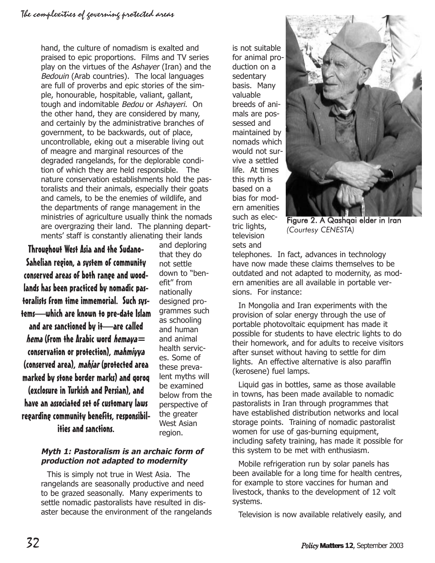hand, the culture of nomadism is exalted and praised to epic proportions. Films and TV series play on the virtues of the Ashayer (Iran) and the Bedouin (Arab countries). The local languages are full of proverbs and epic stories of the simple, honourable, hospitable, valiant, gallant, tough and indomitable Bedou or Ashayeri. On the other hand, they are considered by many, and certainly by the administrative branches of government, to be backwards, out of place, uncontrollable, eking out a miserable living out of meagre and marginal resources of the degraded rangelands, for the deplorable condition of which they are held responsible. The nature conservation establishments hold the pastoralists and their animals, especially their goats and camels, to be the enemies of wildlife, and the departments of range management in the ministries of agriculture usually think the nomads are overgrazing their land. The planning departments' staff is constantly alienating their lands

Throughout West Asia and the Sudano-Sahelian region, a system of community conserved areas of both range and woodlands has been practiced by nomadic pastoralists from time immemorial. Such systemswhich are known to pre-date Islam and are sanctioned by it-are called *hema* (from the Arabic word *hemaya*  $=$ conservation or protection), mahmiyya (conserved area), mahjar (protected area marked by stone border marks) and qoroq (exclosure in Turkish and Persian), and have an associated set of customary laws regarding community benefits, responsibil-

and deploring that they do not settle down to "benefit" from nationally designed programmes such as schooling and human and animal health services. Some of these prevalent myths will be examined below from the perspective of the greater West Asian region.

ities and sanctions.

# **Myth 1: Pastoralism is an archaic form of production not adapted to modernity**

This is simply not true in West Asia. The rangelands are seasonally productive and need to be grazed seasonally. Many experiments to settle nomadic pastoralists have resulted in disaster because the environment of the rangelands is not suitable for animal production on a sedentary basis. Many valuable breeds of animals are possessed and maintained by nomads which would not survive a settled life. At times this myth is based on a bias for modern amenities such as electric lights, television sets and



Figure 2. A Qashqai elder in Iran *(Courtesy CENESTA)*

telephones. In fact, advances in technology have now made these claims themselves to be outdated and not adapted to modernity, as modern amenities are all available in portable versions. For instance:

In Mongolia and Iran experiments with the provision of solar energy through the use of portable photovoltaic equipment has made it possible for students to have electric lights to do their homework, and for adults to receive visitors after sunset without having to settle for dim lights. An effective alternative is also paraffin (kerosene) fuel lamps.

Liquid gas in bottles, same as those available in towns, has been made available to nomadic pastoralists in Iran through programmes that have established distribution networks and local storage points. Training of nomadic pastoralist women for use of gas-burning equipment, including safety training, has made it possible for this system to be met with enthusiasm.

Mobile refrigeration run by solar panels has been available for a long time for health centres, for example to store vaccines for human and livestock, thanks to the development of 12 volt systems.

Television is now available relatively easily, and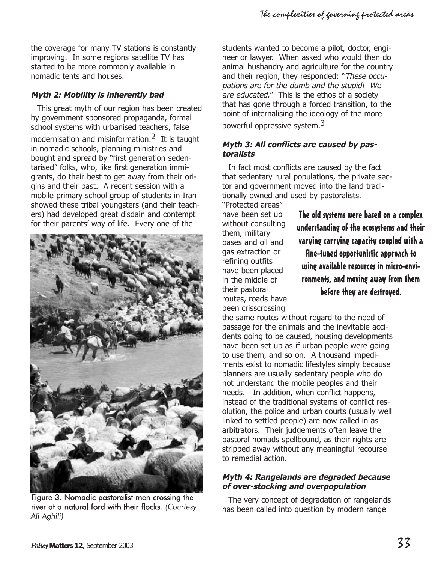the coverage for many TV stations is constantly improving. In some regions satellite TV has started to be more commonly available in nomadic tents and houses.

# **Myth 2: Mobility is inherently bad**

This great myth of our region has been created by government sponsored propaganda, formal school systems with urbanised teachers, false modernisation and misinformation.<sup>2</sup> It is taught in nomadic schools, planning ministries and bought and spread by "first generation sedentarised" folks, who, like first generation immigrants, do their best to get away from their origins and their past. A recent session with a mobile primary school group of students in Iran showed these tribal youngsters (and their teachers) had developed great disdain and contempt for their parents' way of life. Every one of the



Figure 3. Nomadic pastoralist men crossing the river at a natural ford with their flocks. *(Courtesy Ali Aghili)*

students wanted to become a pilot, doctor, engineer or lawyer. When asked who would then do animal husbandry and agriculture for the country and their region, they responded: "These occupations are for the dumb and the stupid! We are educated." This is the ethos of a society that has gone through a forced transition, to the point of internalising the ideology of the more powerful oppressive system.3

#### **Myth 3: All conflicts are caused by pastoralists**

In fact most conflicts are caused by the fact that sedentary rural populations, the private sector and government moved into the land traditionally owned and used by pastoralists.

"Protected areas" have been set up without consulting them, military bases and oil and gas extraction or refining outfits have been placed in the middle of their pastoral routes, roads have been crisscrossing

The old systems were based on a complex understanding of the ecosystems and their varying carrying capacity coupled with a fine-tuned opportunistic approach to using available resources in micro-environments, and moving away from them before they are destroyed.

the same routes without regard to the need of passage for the animals and the inevitable accidents going to be caused, housing developments have been set up as if urban people were going to use them, and so on. A thousand impediments exist to nomadic lifestyles simply because planners are usually sedentary people who do not understand the mobile peoples and their needs. In addition, when conflict happens, instead of the traditional systems of conflict resolution, the police and urban courts (usually well linked to settled people) are now called in as arbitrators. Their judgements often leave the pastoral nomads spellbound, as their rights are stripped away without any meaningful recourse to remedial action.

#### **Myth 4: Rangelands are degraded because of over-stocking and overpopulation**

The very concept of degradation of rangelands has been called into question by modern range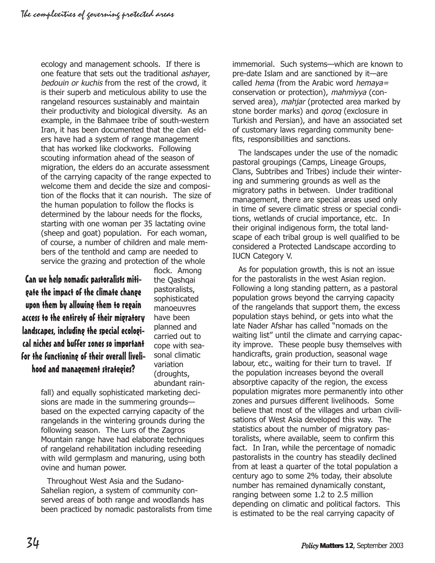ecology and management schools. If there is one feature that sets out the traditional ashayer, bedouin or kuchis from the rest of the crowd, it is their superb and meticulous ability to use the rangeland resources sustainably and maintain their productivity and biological diversity. As an example, in the Bahmaee tribe of south-western Iran, it has been documented that the clan elders have had a system of range management that has worked like clockworks. Following scouting information ahead of the season of migration, the elders do an accurate assessment of the carrying capacity of the range expected to welcome them and decide the size and composition of the flocks that it can nourish. The size of the human population to follow the flocks is determined by the labour needs for the flocks, starting with one woman per 35 lactating ovine (sheep and goat) population. For each woman, of course, a number of children and male members of the tenthold and camp are needed to service the grazing and protection of the whole

Can we help nomadic pastoralists mitigate the impact of the climate change upon them by allowing them to regain access to the entirety of their migratory landscapes, including the special ecological niches and buffer zones so important for the functioning of their overall livelihood and management strategies?

flock. Among the Qashqai pastoralists, sophisticated manoeuvres have been planned and carried out to cope with seasonal climatic variation (droughts, abundant rain-

fall) and equally sophisticated marketing decisions are made in the summering grounds based on the expected carrying capacity of the rangelands in the wintering grounds during the following season. The Lurs of the Zagros Mountain range have had elaborate techniques of rangeland rehabilitation including reseeding with wild germplasm and manuring, using both ovine and human power.

Throughout West Asia and the Sudano-Sahelian region, a system of community conserved areas of both range and woodlands has been practiced by nomadic pastoralists from time immemorial. Such systems—which are known to pre-date Islam and are sanctioned by it-are called hema (from the Arabic word hemaya= conservation or protection), mahmiyya (conserved area), mahjar (protected area marked by stone border marks) and *gorog* (exclosure in Turkish and Persian), and have an associated set of customary laws regarding community benefits, responsibilities and sanctions.

The landscapes under the use of the nomadic pastoral groupings (Camps, Lineage Groups, Clans, Subtribes and Tribes) include their wintering and summering grounds as well as the migratory paths in between. Under traditional management, there are special areas used only in time of severe climatic stress or special conditions, wetlands of crucial importance, etc. In their original indigenous form, the total landscape of each tribal group is well qualified to be considered a Protected Landscape according to IUCN Category V.

As for population growth, this is not an issue for the pastoralists in the west Asian region. Following a long standing pattern, as a pastoral population grows beyond the carrying capacity of the rangelands that support them, the excess population stays behind, or gets into what the late Nader Afshar has called "nomads on the waiting list" until the climate and carrying capacity improve. These people busy themselves with handicrafts, grain production, seasonal wage labour, etc., waiting for their turn to travel. If the population increases beyond the overall absorptive capacity of the region, the excess population migrates more permanently into other zones and pursues different livelihoods. Some believe that most of the villages and urban civilisations of West Asia developed this way. The statistics about the number of migratory pastoralists, where available, seem to confirm this fact. In Iran, while the percentage of nomadic pastoralists in the country has steadily declined from at least a quarter of the total population a century ago to some 2% today, their absolute number has remained dynamically constant, ranging between some 1.2 to 2.5 million depending on climatic and political factors. This is estimated to be the real carrying capacity of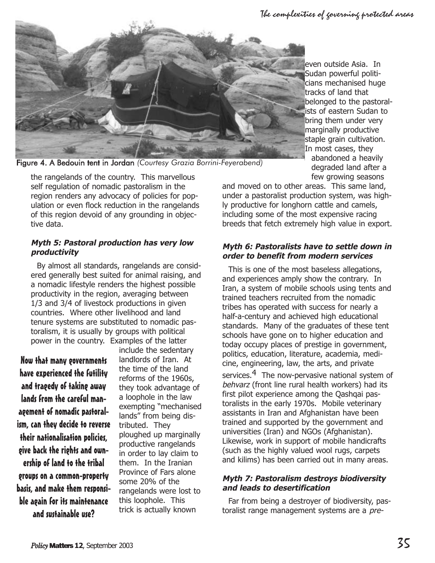The complexities of governing protected areas



even outside Asia. In Sudan powerful politicians mechanised huge tracks of land that belonged to the pastoralists of eastern Sudan to bring them under very marginally productive staple grain cultivation. In most cases, they abandoned a heavily degraded land after a few growing seasons

the rangelands of the country. This marvellous self regulation of nomadic pastoralism in the region renders any advocacy of policies for population or even flock reduction in the rangelands of this region devoid of any grounding in objective data.

# **Myth 5: Pastoral production has very low productivity**

By almost all standards, rangelands are considered generally best suited for animal raising, and a nomadic lifestyle renders the highest possible productivity in the region, averaging between 1/3 and 3/4 of livestock productions in given countries. Where other livelihood and land tenure systems are substituted to nomadic pastoralism, it is usually by groups with political power in the country. Examples of the latter

Now that many governments have experienced the futility and tragedy of taking away lands from the careful management of nomadic pastoralism, can they decide to reverse their nationalisation policies, give back the rights and ownership of land to the tribal groups on a common-property basis, and make them responsible again for its maintenance and sustainable use?

include the sedentary landlords of Iran. At the time of the land reforms of the 1960s, they took advantage of a loophole in the law exempting "mechanised lands" from being distributed. They ploughed up marginally productive rangelands in order to lay claim to them. In the Iranian Province of Fars alone some 20% of the rangelands were lost to this loophole. This trick is actually known

and moved on to other areas. This same land, under a pastoralist production system, was highly productive for longhorn cattle and camels, including some of the most expensive racing breeds that fetch extremely high value in export.

#### **Myth 6: Pastoralists have to settle down in order to benefit from modern services**

This is one of the most baseless allegations, and experiences amply show the contrary. In Iran, a system of mobile schools using tents and trained teachers recruited from the nomadic tribes has operated with success for nearly a half-a-century and achieved high educational standards. Many of the graduates of these tent schools have gone on to higher education and today occupy places of prestige in government, politics, education, literature, academia, medicine, engineering, law, the arts, and private services.<sup>4</sup> The now-pervasive national system of behvarz (front line rural health workers) had its first pilot experience among the Qashqai pastoralists in the early 1970s. Mobile veterinary assistants in Iran and Afghanistan have been trained and supported by the government and universities (Iran) and NGOs (Afghanistan). Likewise, work in support of mobile handicrafts (such as the highly valued wool rugs, carpets and kilims) has been carried out in many areas.

#### **Myth 7: Pastoralism destroys biodiversity and leads to desertification**

Far from being a destroyer of biodiversity, pastoralist range management systems are a pre-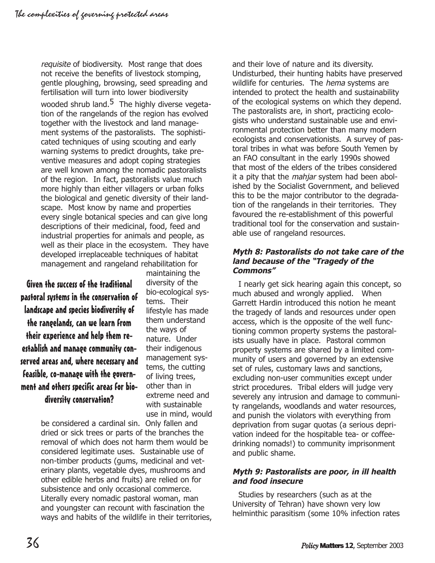requisite of biodiversity. Most range that does not receive the benefits of livestock stomping, gentle ploughing, browsing, seed spreading and fertilisation will turn into lower biodiversity wooded shrub land.<sup>5</sup> The highly diverse vegetation of the rangelands of the region has evolved together with the livestock and land management systems of the pastoralists. The sophisticated techniques of using scouting and early warning systems to predict droughts, take preventive measures and adopt coping strategies are well known among the nomadic pastoralists of the region. In fact, pastoralists value much more highly than either villagers or urban folks the biological and genetic diversity of their landscape. Most know by name and properties every single botanical species and can give long descriptions of their medicinal, food, feed and industrial properties for animals and people, as well as their place in the ecosystem. They have developed irreplaceable techniques of habitat management and rangeland rehabilitation for

Given the success of the traditional pastoral systems in the conservation of landscape and species biodiversity of the rangelands, can we learn from their experience and help them reestablish and manage community conserved areas and, where necessary and feasible, co-manage with the government and others specific areas for biodiversity conservation?

maintaining the diversity of the bio-ecological systems. Their lifestyle has made them understand the ways of nature. Under their indigenous management systems, the cutting of living trees, other than in extreme need and with sustainable use in mind, would

be considered a cardinal sin. Only fallen and dried or sick trees or parts of the branches the removal of which does not harm them would be considered legitimate uses. Sustainable use of non-timber products (gums, medicinal and veterinary plants, vegetable dyes, mushrooms and other edible herbs and fruits) are relied on for subsistence and only occasional commerce. Literally every nomadic pastoral woman, man and youngster can recount with fascination the ways and habits of the wildlife in their territories,

and their love of nature and its diversity. Undisturbed, their hunting habits have preserved wildlife for centuries. The *hema* systems are intended to protect the health and sustainability of the ecological systems on which they depend. The pastoralists are, in short, practicing ecologists who understand sustainable use and environmental protection better than many modern ecologists and conservationists. A survey of pastoral tribes in what was before South Yemen by an FAO consultant in the early 1990s showed that most of the elders of the tribes considered it a pity that the *mahjar* system had been abolished by the Socialist Government, and believed this to be the major contributor to the degradation of the rangelands in their territories. They favoured the re-establishment of this powerful traditional tool for the conservation and sustainable use of rangeland resources.

#### **Myth 8: Pastoralists do not take care of the land because of the Tragedy of the Commons**

I nearly get sick hearing again this concept, so much abused and wrongly applied. When Garrett Hardin introduced this notion he meant the tragedy of lands and resources under open access, which is the opposite of the well functioning common property systems the pastoralists usually have in place. Pastoral common property systems are shared by a limited community of users and governed by an extensive set of rules, customary laws and sanctions, excluding non-user communities except under strict procedures. Tribal elders will judge very severely any intrusion and damage to community rangelands, woodlands and water resources, and punish the violators with everything from deprivation from sugar quotas (a serious deprivation indeed for the hospitable tea- or coffeedrinking nomads!) to community imprisonment and public shame.

#### **Myth 9: Pastoralists are poor, in ill health and food insecure**

Studies by researchers (such as at the University of Tehran) have shown very low helminthic parasitism (some 10% infection rates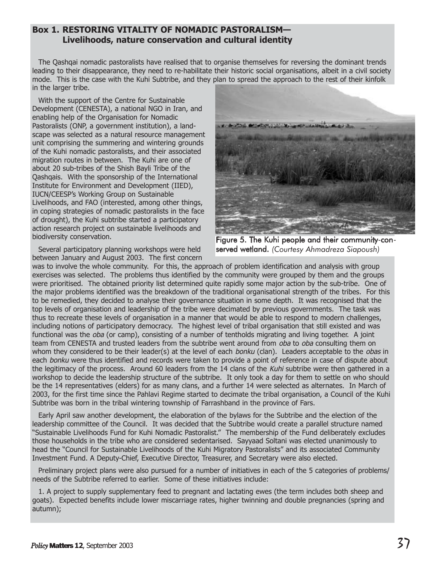## **Box 1. RESTORING VITALITY OF NOMADIC PASTORALISM Livelihoods, nature conservation and cultural identity**

The Qashqai nomadic pastoralists have realised that to organise themselves for reversing the dominant trends leading to their disappearance, they need to re-habilitate their historic social organisations, albeit in a civil society mode. This is the case with the Kuhi Subtribe, and they plan to spread the approach to the rest of their kinfolk in the larger tribe.

With the support of the Centre for Sustainable Development (CENESTA), a national NGO in Iran, and enabling help of the Organisation for Nomadic Pastoralists (ONP, a government institution), a landscape was selected as a natural resource management unit comprising the summering and wintering grounds of the Kuhi nomadic pastoralists, and their associated migration routes in between. The Kuhi are one of about 20 sub-tribes of the Shish Bayli Tribe of the Qashqais. With the sponsorship of the International Institute for Environment and Development (IIED), IUCN/CEESP's Working Group on Sustainable Livelihoods, and FAO (interested, among other things, in coping strategies of nomadic pastoralists in the face of drought), the Kuhi subtribe started a participatory action research project on sustainable livelihoods and biodiversity conservation.

Several participatory planning workshops were held between January and August 2003. The first concern



Figure 5. The Kuhi people and their community-conserved wetland. *(Courtesy Ahmadreza Siapoush)*

was to involve the whole community. For this, the approach of problem identification and analysis with group exercises was selected. The problems thus identified by the community were grouped by them and the groups were prioritised. The obtained priority list determined quite rapidly some major action by the sub-tribe. One of the major problems identified was the breakdown of the traditional organisational strength of the tribes. For this to be remedied, they decided to analyse their governance situation in some depth. It was recognised that the top levels of organisation and leadership of the tribe were decimated by previous governments. The task was thus to recreate these levels of organisation in a manner that would be able to respond to modern challenges, including notions of participatory democracy. The highest level of tribal organisation that still existed and was functional was the oba (or camp), consisting of a number of tentholds migrating and living together. A joint team from CENESTA and trusted leaders from the subtribe went around from *oba* to *oba* consulting them on whom they considered to be their leader(s) at the level of each bonku (clan). Leaders acceptable to the obas in each bonku were thus identified and records were taken to provide a point of reference in case of dispute about the legitimacy of the process. Around 60 leaders from the 14 clans of the Kuhi subtribe were then gathered in a workshop to decide the leadership structure of the subtribe. It only took a day for them to settle on who should be the 14 representatives (elders) for as many clans, and a further 14 were selected as alternates. In March of 2003, for the first time since the Pahlavi Regime started to decimate the tribal organisation, a Council of the Kuhi Subtribe was born in the tribal wintering township of Farrashband in the province of Fars.

Early April saw another development, the elaboration of the bylaws for the Subtribe and the election of the leadership committee of the Council. It was decided that the Subtribe would create a parallel structure named "Sustainable Livelihoods Fund for Kuhi Nomadic Pastoralist." The membership of the Fund deliberately excludes those households in the tribe who are considered sedentarised. Sayyaad Soltani was elected unanimously to head the "Council for Sustainable Livelihoods of the Kuhi Migratory Pastoralists" and its associated Community Investment Fund. A Deputy-Chief, Executive Director, Treasurer, and Secretary were also elected.

Preliminary project plans were also pursued for a number of initiatives in each of the 5 categories of problems/ needs of the Subtribe referred to earlier. Some of these initiatives include:

1. A project to supply supplementary feed to pregnant and lactating ewes (the term includes both sheep and goats). Expected benefits include lower miscarriage rates, higher twinning and double pregnancies (spring and autumn);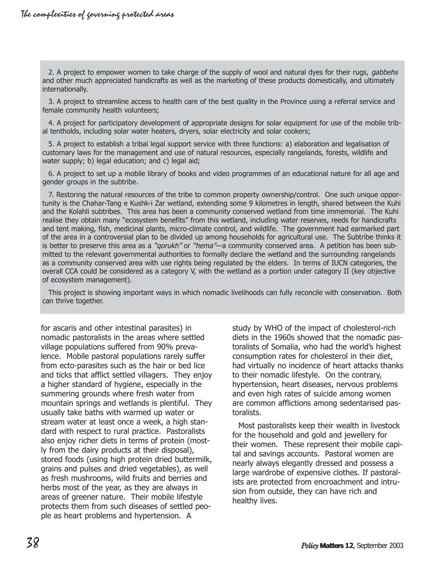2. A project to empower women to take charge of the supply of wool and natural dyes for their rugs, *gabbehs* and other much appreciated handicrafts as well as the marketing of these products domestically, and ultimately internationally.

3. A project to streamline access to health care of the best quality in the Province using a referral service and female community health volunteers;

4. A project for participatory development of appropriate designs for solar equipment for use of the mobile tribal tentholds, including solar water heaters, dryers, solar electricity and solar cookers;

5. A project to establish a tribal legal support service with three functions: a) elaboration and legalisation of customary laws for the management and use of natural resources, especially rangelands, forests, wildlife and water supply; b) legal education; and c) legal aid;

6. A project to set up a mobile library of books and video programmes of an educational nature for all age and gender groups in the subtribe.

7. Restoring the natural resources of the tribe to common property ownership/control. One such unique opportunity is the Chahar-Tang e Kushk-i Zar wetland, extending some 9 kilometres in length, shared between the Kuhi and the Kolahli subtribes. This area has been a community conserved wetland from time immemorial. The Kuhi realise they obtain many "ecosystem benefits" from this wetland, including water reserves, reeds for handicrafts and tent making, fish, medicinal plants, micro-climate control, and wildlife. The government had earmarked part of the area in a controversial plan to be divided up among households for agricultural use. The Subtribe thinks it is better to preserve this area as a "*gorukh"* or "*hema"*—a community conserved area. A petition has been submitted to the relevant governmental authorities to formally declare the wetland and the surrounding rangelands as a community conserved area with use rights being regulated by the elders. In terms of IUCN categories, the overall CCA could be considered as a category V, with the wetland as a portion under category II (key objective of ecosystem management).

This project is showing important ways in which nomadic livelihoods can fully reconcile with conservation. Both can thrive together.

for ascaris and other intestinal parasites) in nomadic pastoralists in the areas where settled village populations suffered from 90% prevalence. Mobile pastoral populations rarely suffer from ecto-parasites such as the hair or bed lice and ticks that afflict settled villagers. They enjoy a higher standard of hygiene, especially in the summering grounds where fresh water from mountain springs and wetlands is plentiful. They usually take baths with warmed up water or stream water at least once a week, a high standard with respect to rural practice. Pastoralists also enjoy richer diets in terms of protein (mostly from the dairy products at their disposal), stored foods (using high protein dried buttermilk, grains and pulses and dried vegetables), as well as fresh mushrooms, wild fruits and berries and herbs most of the year, as they are always in areas of greener nature. Their mobile lifestyle protects them from such diseases of settled people as heart problems and hypertension. A

study by WHO of the impact of cholesterol-rich diets in the 1960s showed that the nomadic pastoralists of Somalia, who had the world's highest consumption rates for cholesterol in their diet, had virtually no incidence of heart attacks thanks to their nomadic lifestyle. On the contrary, hypertension, heart diseases, nervous problems and even high rates of suicide among women are common afflictions among sedentarised pastoralists.

Most pastoralists keep their wealth in livestock for the household and gold and jewellery for their women. These represent their mobile capital and savings accounts. Pastoral women are nearly always elegantly dressed and possess a large wardrobe of expensive clothes. If pastoralists are protected from encroachment and intrusion from outside, they can have rich and healthy lives.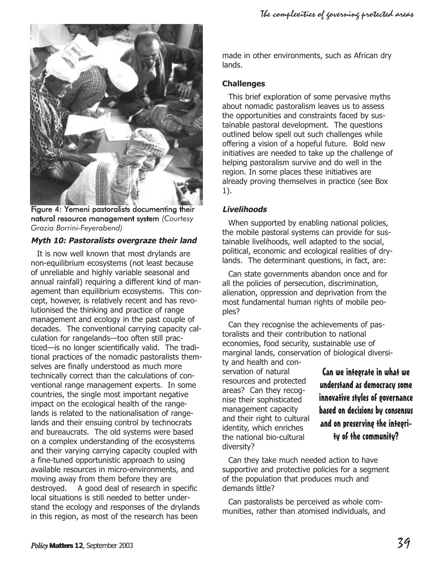



Figure 4: Yemeni pastoralists documenting their natural resource management system *(Courtesy Grazia Borrini-Feyerabend)*

#### **Myth 10: Pastoralists overgraze their land**

It is now well known that most drylands are non-equilibrium ecosystems (not least because of unreliable and highly variable seasonal and annual rainfall) requiring a different kind of management than equilibrium ecosystems. This concept, however, is relatively recent and has revolutionised the thinking and practice of range management and ecology in the past couple of decades. The conventional carrying capacity calculation for rangelands-too often still practiced- is no longer scientifically valid. The traditional practices of the nomadic pastoralists themselves are finally understood as much more technically correct than the calculations of conventional range management experts. In some countries, the single most important negative impact on the ecological health of the rangelands is related to the nationalisation of rangelands and their ensuing control by technocrats and bureaucrats. The old systems were based on a complex understanding of the ecosystems and their varying carrying capacity coupled with a fine-tuned opportunistic approach to using available resources in micro-environments, and moving away from them before they are destroyed. A good deal of research in specific local situations is still needed to better understand the ecology and responses of the drylands in this region, as most of the research has been

made in other environments, such as African dry lands.

#### **Challenges**

This brief exploration of some pervasive myths about nomadic pastoralism leaves us to assess the opportunities and constraints faced by sustainable pastoral development. The questions outlined below spell out such challenges while offering a vision of a hopeful future. Bold new initiatives are needed to take up the challenge of helping pastoralism survive and do well in the region. In some places these initiatives are already proving themselves in practice (see Box 1).

#### **Livelihoods**

When supported by enabling national policies, the mobile pastoral systems can provide for sustainable livelihoods, well adapted to the social, political, economic and ecological realities of drylands. The determinant questions, in fact, are:

Can state governments abandon once and for all the policies of persecution, discrimination, alienation, oppression and deprivation from the most fundamental human rights of mobile peoples?

Can they recognise the achievements of pastoralists and their contribution to national economies, food security, sustainable use of marginal lands, conservation of biological diversi-

ty and health and conservation of natural resources and protected areas? Can they recognise their sophisticated management capacity and their right to cultural identity, which enriches the national bio-cultural diversity?

Can we integrate in what we understand as democracy some innovative styles of governance based on decisions by consensus and on preserving the integrity of the community?

Can they take much needed action to have supportive and protective policies for a segment of the population that produces much and demands little?

Can pastoralists be perceived as whole communities, rather than atomised individuals, and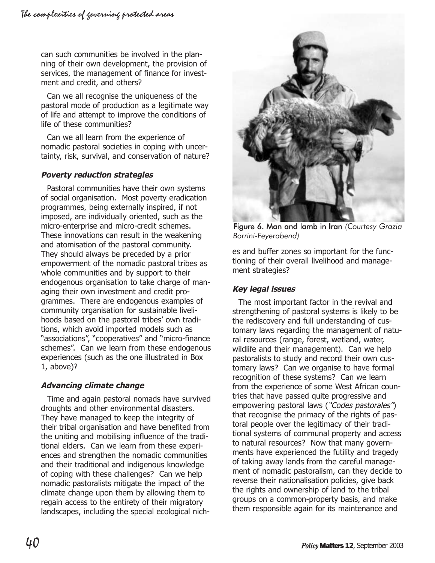can such communities be involved in the planning of their own development, the provision of services, the management of finance for investment and credit, and others?

Can we all recognise the uniqueness of the pastoral mode of production as a legitimate way of life and attempt to improve the conditions of life of these communities?

Can we all learn from the experience of nomadic pastoral societies in coping with uncertainty, risk, survival, and conservation of nature?

## **Poverty reduction strategies**

Pastoral communities have their own systems of social organisation. Most poverty eradication programmes, being externally inspired, if not imposed, are individually oriented, such as the micro-enterprise and micro-credit schemes. These innovations can result in the weakening and atomisation of the pastoral community. They should always be preceded by a prior empowerment of the nomadic pastoral tribes as whole communities and by support to their endogenous organisation to take charge of managing their own investment and credit programmes. There are endogenous examples of community organisation for sustainable livelihoods based on the pastoral tribes' own traditions, which avoid imported models such as "associations", "cooperatives" and "micro-finance schemes". Can we learn from these endogenous experiences (such as the one illustrated in Box 1, above)?

# **Advancing climate change**

Time and again pastoral nomads have survived droughts and other environmental disasters. They have managed to keep the integrity of their tribal organisation and have benefited from the uniting and mobilising influence of the traditional elders. Can we learn from these experiences and strengthen the nomadic communities and their traditional and indigenous knowledge of coping with these challenges? Can we help nomadic pastoralists mitigate the impact of the climate change upon them by allowing them to regain access to the entirety of their migratory landscapes, including the special ecological nich-



Figure 6. Man and lamb in Iran *(Courtesy Grazia Borrini-Feyerabend)*

es and buffer zones so important for the functioning of their overall livelihood and management strategies?

#### **Key legal issues**

The most important factor in the revival and strengthening of pastoral systems is likely to be the rediscovery and full understanding of customary laws regarding the management of natural resources (range, forest, wetland, water, wildlife and their management). Can we help pastoralists to study and record their own customary laws? Can we organise to have formal recognition of these systems? Can we learn from the experience of some West African countries that have passed quite progressive and empowering pastoral laws ("Codes pastorales") that recognise the primacy of the rights of pastoral people over the legitimacy of their traditional systems of communal property and access to natural resources? Now that many governments have experienced the futility and tragedy of taking away lands from the careful management of nomadic pastoralism, can they decide to reverse their nationalisation policies, give back the rights and ownership of land to the tribal groups on a common-property basis, and make them responsible again for its maintenance and